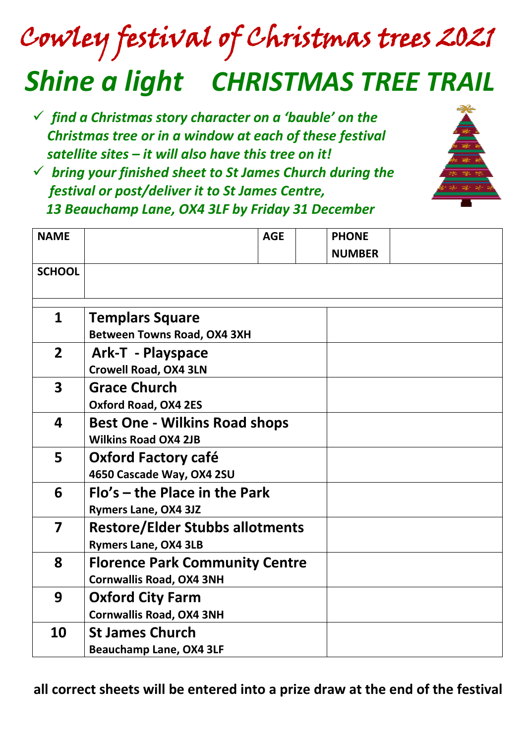# Cowley festival of Christmas trees 2021 *Shine a light CHRISTMAS TREE TRAIL*

- ✓ *find a Christmas story character on a 'bauble' on the Christmas tree or in a window at each of these festival satellite sites – it will also have this tree on it!*
- ✓ *bring your finished sheet to St James Church during the festival or post/deliver it to St James Centre, 13 Beauchamp Lane, OX4 3LF by Friday 31 December*



| <b>NAME</b>             |                                        | <b>AGE</b> | <b>PHONE</b>  |  |
|-------------------------|----------------------------------------|------------|---------------|--|
|                         |                                        |            | <b>NUMBER</b> |  |
| <b>SCHOOL</b>           |                                        |            |               |  |
|                         |                                        |            |               |  |
|                         |                                        |            |               |  |
| $\mathbf 1$             | <b>Templars Square</b>                 |            |               |  |
|                         | <b>Between Towns Road, OX4 3XH</b>     |            |               |  |
| $\overline{2}$          | <b>Ark-T - Playspace</b>               |            |               |  |
|                         | <b>Crowell Road, OX4 3LN</b>           |            |               |  |
| $\overline{\mathbf{3}}$ | <b>Grace Church</b>                    |            |               |  |
|                         | <b>Oxford Road, OX4 2ES</b>            |            |               |  |
| 4                       | <b>Best One - Wilkins Road shops</b>   |            |               |  |
|                         | <b>Wilkins Road OX4 2JB</b>            |            |               |  |
| 5                       | <b>Oxford Factory café</b>             |            |               |  |
|                         | 4650 Cascade Way, OX4 2SU              |            |               |  |
| 6                       | Flo's – the Place in the Park          |            |               |  |
|                         | <b>Rymers Lane, OX4 3JZ</b>            |            |               |  |
| 7                       | <b>Restore/Elder Stubbs allotments</b> |            |               |  |
|                         |                                        |            |               |  |
|                         | <b>Rymers Lane, OX4 3LB</b>            |            |               |  |
| 8                       | <b>Florence Park Community Centre</b>  |            |               |  |
|                         | <b>Cornwallis Road, OX4 3NH</b>        |            |               |  |
| 9                       | <b>Oxford City Farm</b>                |            |               |  |
|                         | <b>Cornwallis Road, OX4 3NH</b>        |            |               |  |
| 10                      | <b>St James Church</b>                 |            |               |  |
|                         | <b>Beauchamp Lane, OX4 3LF</b>         |            |               |  |

 **all correct sheets will be entered into a prize draw at the end of the festival**